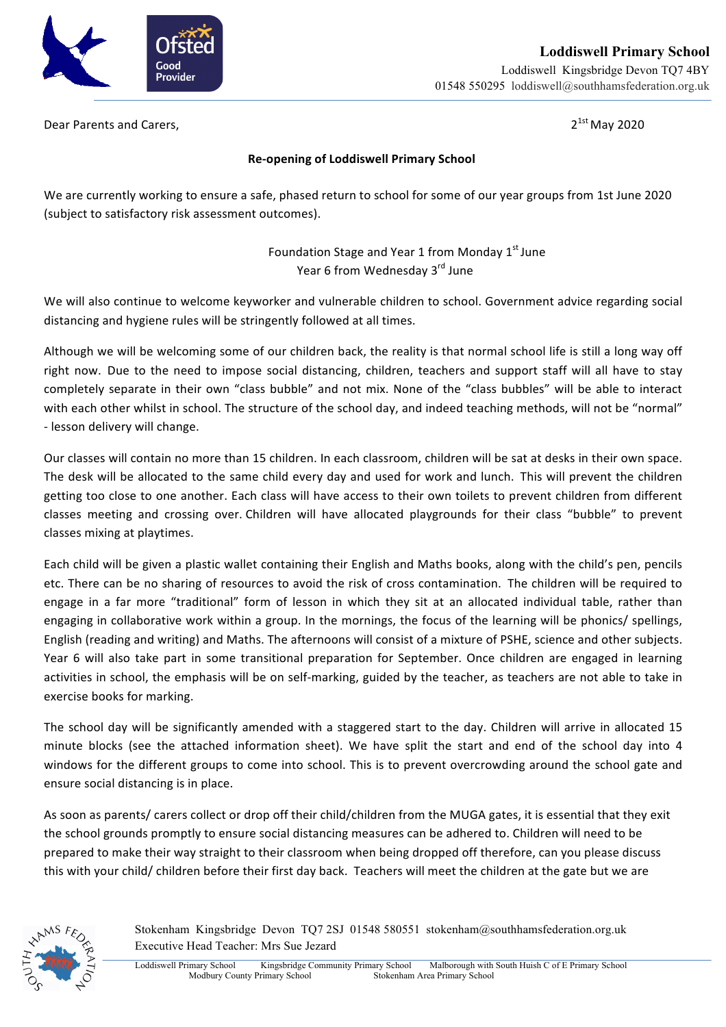

Dear Parents and Carers, 2020 and 2020 and 2020 and 2020 and 2020 and 2020 and 2020 and 2020 and 2020 and 2020

## **Re-opening of Loddiswell Primary School**

We are currently working to ensure a safe, phased return to school for some of our year groups from 1st June 2020 (subject to satisfactory risk assessment outcomes).

> Foundation Stage and Year 1 from Monday  $1<sup>st</sup>$  June Year 6 from Wednesday 3<sup>rd</sup> June

We will also continue to welcome keyworker and vulnerable children to school. Government advice regarding social distancing and hygiene rules will be stringently followed at all times.

Although we will be welcoming some of our children back, the reality is that normal school life is still a long way off right now. Due to the need to impose social distancing, children, teachers and support staff will all have to stay completely separate in their own "class bubble" and not mix. None of the "class bubbles" will be able to interact with each other whilst in school. The structure of the school day, and indeed teaching methods, will not be "normal" - lesson delivery will change.

Our classes will contain no more than 15 children. In each classroom, children will be sat at desks in their own space. The desk will be allocated to the same child every day and used for work and lunch. This will prevent the children getting too close to one another. Each class will have access to their own toilets to prevent children from different classes meeting and crossing over. Children will have allocated playgrounds for their class "bubble" to prevent classes mixing at playtimes.

Each child will be given a plastic wallet containing their English and Maths books, along with the child's pen, pencils etc. There can be no sharing of resources to avoid the risk of cross contamination. The children will be required to engage in a far more "traditional" form of lesson in which they sit at an allocated individual table, rather than engaging in collaborative work within a group. In the mornings, the focus of the learning will be phonics/ spellings, English (reading and writing) and Maths. The afternoons will consist of a mixture of PSHE, science and other subjects. Year 6 will also take part in some transitional preparation for September. Once children are engaged in learning activities in school, the emphasis will be on self-marking, guided by the teacher, as teachers are not able to take in exercise books for marking.

The school day will be significantly amended with a staggered start to the day. Children will arrive in allocated 15 minute blocks (see the attached information sheet). We have split the start and end of the school day into 4 windows for the different groups to come into school. This is to prevent overcrowding around the school gate and ensure social distancing is in place.

As soon as parents/ carers collect or drop off their child/children from the MUGA gates, it is essential that they exit the school grounds promptly to ensure social distancing measures can be adhered to. Children will need to be prepared to make their way straight to their classroom when being dropped off therefore, can you please discuss this with your child/ children before their first day back. Teachers will meet the children at the gate but we are



Stokenham Kingsbridge Devon TQ7 2SJ 01548 580551 stokenham@southhamsfederation.org.uk Executive Head Teacher: Mrs Sue Jezard